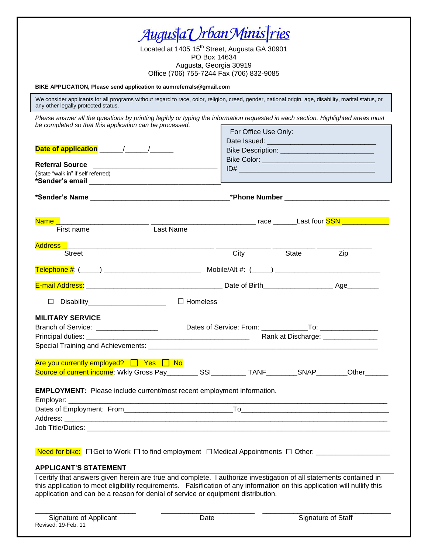| <u>Augus†aVrbanMinisTries</u><br>Located at 1405 15 <sup>th</sup> Street, Augusta GA 30901                                                                                                                                                                                 |                                                  |       |     |
|----------------------------------------------------------------------------------------------------------------------------------------------------------------------------------------------------------------------------------------------------------------------------|--------------------------------------------------|-------|-----|
| PO Box 14634<br>Augusta, Georgia 30919<br>Office (706) 755-7244 Fax (706) 832-9085                                                                                                                                                                                         |                                                  |       |     |
| BIKE APPLICATION, Please send application to aumreferrals@gmail.com                                                                                                                                                                                                        |                                                  |       |     |
| We consider applicants for all programs without regard to race, color, religion, creed, gender, national origin, age, disability, marital status, or<br>any other legally protected status.                                                                                |                                                  |       |     |
| Please answer all the questions by printing legibly or typing the information requested in each section. Highlighted areas must<br>be completed so that this application can be processed.                                                                                 |                                                  |       |     |
|                                                                                                                                                                                                                                                                            | For Office Use Only:                             |       |     |
|                                                                                                                                                                                                                                                                            | Bike Description: ______________________________ |       |     |
|                                                                                                                                                                                                                                                                            |                                                  |       |     |
| (State "walk in" if self referred)<br>*Sender's email <b>with the contract of the contract of the contract of the contract of the contract of the contract of the contract of the contract of the contract of the contract of the contract of the contract of the cont</b> |                                                  |       |     |
|                                                                                                                                                                                                                                                                            |                                                  |       |     |
| <b>Name</b>                                                                                                                                                                                                                                                                |                                                  |       |     |
| Last Name<br>First name                                                                                                                                                                                                                                                    |                                                  |       |     |
| Street                                                                                                                                                                                                                                                                     | City                                             | State | Zip |
|                                                                                                                                                                                                                                                                            |                                                  |       |     |
|                                                                                                                                                                                                                                                                            |                                                  |       |     |
| $\Box$ Homeless<br>Disability_________________________<br>□                                                                                                                                                                                                                |                                                  |       |     |
| <b>MILITARY SERVICE</b>                                                                                                                                                                                                                                                    |                                                  |       |     |
| Branch of Service: _________________                                                                                                                                                                                                                                       |                                                  |       |     |
|                                                                                                                                                                                                                                                                            |                                                  |       |     |
| Are you currently employed? $\Box$ Yes $\Box$ No<br>Source of current income: Wkly Gross Pay__________SSI__________TANF________SNAP________Other______                                                                                                                     |                                                  |       |     |
|                                                                                                                                                                                                                                                                            |                                                  |       |     |
| <b>EMPLOYMENT:</b> Please include current/most recent employment information.                                                                                                                                                                                              |                                                  |       |     |
|                                                                                                                                                                                                                                                                            |                                                  |       |     |
|                                                                                                                                                                                                                                                                            |                                                  |       |     |
|                                                                                                                                                                                                                                                                            |                                                  |       |     |
|                                                                                                                                                                                                                                                                            |                                                  |       |     |
| <b>APPLICANT'S STATEMENT</b>                                                                                                                                                                                                                                               |                                                  |       |     |
| I certify that answers given herein are true and complete. I authorize investigation of all statements contained in                                                                                                                                                        |                                                  |       |     |

\_\_\_\_\_\_\_\_\_\_\_\_\_\_\_\_\_\_\_\_\_\_\_\_\_\_ \_\_\_\_\_\_\_\_\_\_\_\_\_\_\_\_\_\_\_\_\_\_\_\_ \_\_\_\_\_\_\_\_\_\_\_\_\_\_\_\_\_\_\_\_\_\_\_\_\_\_\_\_\_\_\_\_\_